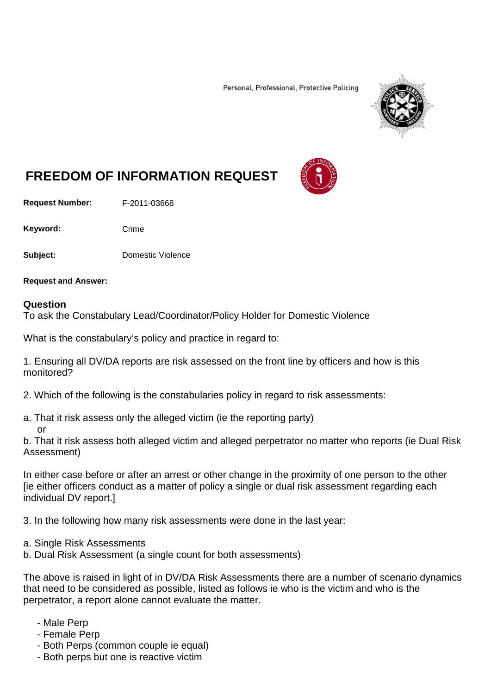Personal, Professional, Protective Policing



# **FREEDOM OF INFORMATION REQUEST**

**Request Number:** F-2011-03668

Keyword: Crime

**Subject:** Domestic Violence

**Request and Answer:**

#### **Question**

To ask the Constabulary Lead/Coordinator/Policy Holder for Domestic Violence

What is the constabulary's policy and practice in regard to:

1. Ensuring all DV/DA reports are risk assessed on the front line by officers and how is this monitored?

2. Which of the following is the constabularies policy in regard to risk assessments:

a. That it risk assess only the alleged victim (ie the reporting party) or

b. That it risk assess both alleged victim and alleged perpetrator no matter who reports (ie Dual Risk Assessment)

In either case before or after an arrest or other change in the proximity of one person to the other [ie either officers conduct as a matter of policy a single or dual risk assessment regarding each individual DV report.]

3. In the following how many risk assessments were done in the last year:

- a. Single Risk Assessments
- b. Dual Risk Assessment (a single count for both assessments)

The above is raised in light of in DV/DA Risk Assessments there are a number of scenario dynamics that need to be considered as possible, listed as follows ie who is the victim and who is the perpetrator, a report alone cannot evaluate the matter.

- Male Perp
- Female Perp
- Both Perps (common couple ie equal)
- Both perps but one is reactive victim

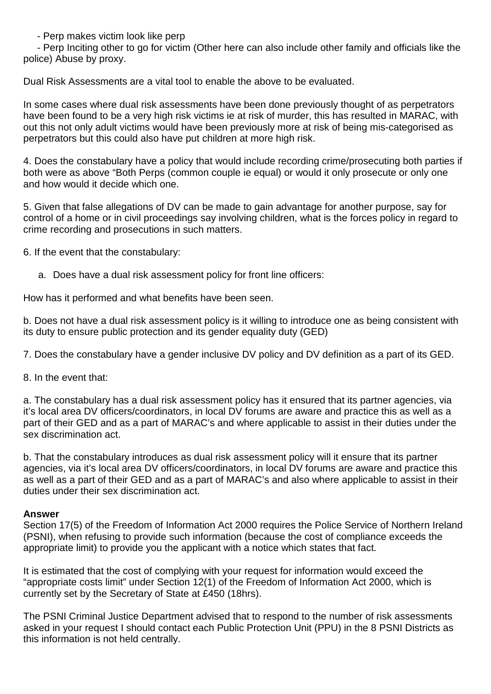- Perp makes victim look like perp

 - Perp Inciting other to go for victim (Other here can also include other family and officials like the police) Abuse by proxy.

Dual Risk Assessments are a vital tool to enable the above to be evaluated.

In some cases where dual risk assessments have been done previously thought of as perpetrators have been found to be a very high risk victims ie at risk of murder, this has resulted in MARAC, with out this not only adult victims would have been previously more at risk of being mis-categorised as perpetrators but this could also have put children at more high risk.

4. Does the constabulary have a policy that would include recording crime/prosecuting both parties if both were as above "Both Perps (common couple ie equal) or would it only prosecute or only one and how would it decide which one.

5. Given that false allegations of DV can be made to gain advantage for another purpose, say for control of a home or in civil proceedings say involving children, what is the forces policy in regard to crime recording and prosecutions in such matters.

6. If the event that the constabulary:

a. Does have a dual risk assessment policy for front line officers:

How has it performed and what benefits have been seen.

b. Does not have a dual risk assessment policy is it willing to introduce one as being consistent with its duty to ensure public protection and its gender equality duty (GED)

7. Does the constabulary have a gender inclusive DV policy and DV definition as a part of its GED.

8. In the event that:

a. The constabulary has a dual risk assessment policy has it ensured that its partner agencies, via it's local area DV officers/coordinators, in local DV forums are aware and practice this as well as a part of their GED and as a part of MARAC's and where applicable to assist in their duties under the sex discrimination act.

b. That the constabulary introduces as dual risk assessment policy will it ensure that its partner agencies, via it's local area DV officers/coordinators, in local DV forums are aware and practice this as well as a part of their GED and as a part of MARAC's and also where applicable to assist in their duties under their sex discrimination act.

# **Answer**

Section 17(5) of the Freedom of Information Act 2000 requires the Police Service of Northern Ireland (PSNI), when refusing to provide such information (because the cost of compliance exceeds the appropriate limit) to provide you the applicant with a notice which states that fact.

It is estimated that the cost of complying with your request for information would exceed the "appropriate costs limit" under Section 12(1) of the Freedom of Information Act 2000, which is currently set by the Secretary of State at £450 (18hrs).

The PSNI Criminal Justice Department advised that to respond to the number of risk assessments asked in your request I should contact each Public Protection Unit (PPU) in the 8 PSNI Districts as this information is not held centrally.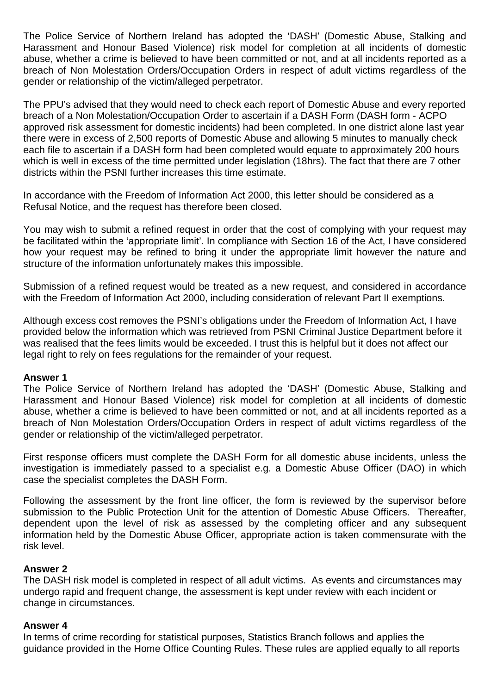The Police Service of Northern Ireland has adopted the 'DASH' (Domestic Abuse, Stalking and Harassment and Honour Based Violence) risk model for completion at all incidents of domestic abuse, whether a crime is believed to have been committed or not, and at all incidents reported as a breach of Non Molestation Orders/Occupation Orders in respect of adult victims regardless of the gender or relationship of the victim/alleged perpetrator.

The PPU's advised that they would need to check each report of Domestic Abuse and every reported breach of a Non Molestation/Occupation Order to ascertain if a DASH Form (DASH form - ACPO approved risk assessment for domestic incidents) had been completed. In one district alone last year there were in excess of 2,500 reports of Domestic Abuse and allowing 5 minutes to manually check each file to ascertain if a DASH form had been completed would equate to approximately 200 hours which is well in excess of the time permitted under legislation (18hrs). The fact that there are 7 other districts within the PSNI further increases this time estimate.

In accordance with the Freedom of Information Act 2000, this letter should be considered as a Refusal Notice, and the request has therefore been closed.

You may wish to submit a refined request in order that the cost of complying with your request may be facilitated within the 'appropriate limit'. In compliance with Section 16 of the Act, I have considered how your request may be refined to bring it under the appropriate limit however the nature and structure of the information unfortunately makes this impossible.

Submission of a refined request would be treated as a new request, and considered in accordance with the Freedom of Information Act 2000, including consideration of relevant Part II exemptions.

Although excess cost removes the PSNI's obligations under the Freedom of Information Act, I have provided below the information which was retrieved from PSNI Criminal Justice Department before it was realised that the fees limits would be exceeded. I trust this is helpful but it does not affect our legal right to rely on fees regulations for the remainder of your request.

#### **Answer 1**

The Police Service of Northern Ireland has adopted the 'DASH' (Domestic Abuse, Stalking and Harassment and Honour Based Violence) risk model for completion at all incidents of domestic abuse, whether a crime is believed to have been committed or not, and at all incidents reported as a breach of Non Molestation Orders/Occupation Orders in respect of adult victims regardless of the gender or relationship of the victim/alleged perpetrator.

First response officers must complete the DASH Form for all domestic abuse incidents, unless the investigation is immediately passed to a specialist e.g. a Domestic Abuse Officer (DAO) in which case the specialist completes the DASH Form.

Following the assessment by the front line officer, the form is reviewed by the supervisor before submission to the Public Protection Unit for the attention of Domestic Abuse Officers. Thereafter, dependent upon the level of risk as assessed by the completing officer and any subsequent information held by the Domestic Abuse Officer, appropriate action is taken commensurate with the risk level.

# **Answer 2**

The DASH risk model is completed in respect of all adult victims. As events and circumstances may undergo rapid and frequent change, the assessment is kept under review with each incident or change in circumstances.

#### **Answer 4**

In terms of crime recording for statistical purposes, Statistics Branch follows and applies the guidance provided in the Home Office Counting Rules. These rules are applied equally to all reports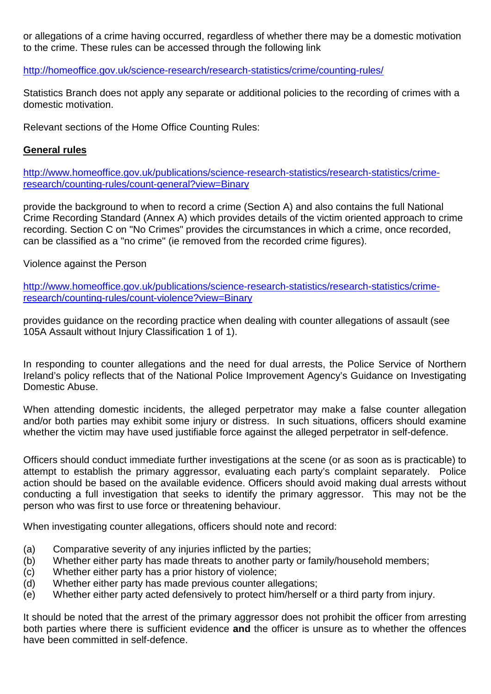or allegations of a crime having occurred, regardless of whether there may be a domestic motivation to the crime. These rules can be accessed through the following link

<http://homeoffice.gov.uk/science-research/research-statistics/crime/counting-rules/>

Statistics Branch does not apply any separate or additional policies to the recording of crimes with a domestic motivation.

Relevant sections of the Home Office Counting Rules:

# **General rules**

[http://www.homeoffice.gov.uk/publications/science-research-statistics/research-statistics/crime](http://www.homeoffice.gov.uk/publications/science-research-statistics/research-statistics/crime-research/counting-rules/count-general?view=Binary)[research/counting-rules/count-general?view=Binary](http://www.homeoffice.gov.uk/publications/science-research-statistics/research-statistics/crime-research/counting-rules/count-general?view=Binary)

provide the background to when to record a crime (Section A) and also contains the full National Crime Recording Standard (Annex A) which provides details of the victim oriented approach to crime recording. Section C on "No Crimes" provides the circumstances in which a crime, once recorded, can be classified as a "no crime" (ie removed from the recorded crime figures).

Violence against the Person

[http://www.homeoffice.gov.uk/publications/science-research-statistics/research-statistics/crime](http://www.homeoffice.gov.uk/publications/science-research-statistics/research-statistics/crime-research/counting-rules/count-violence?view=Binary)[research/counting-rules/count-violence?view=Binary](http://www.homeoffice.gov.uk/publications/science-research-statistics/research-statistics/crime-research/counting-rules/count-violence?view=Binary)

provides guidance on the recording practice when dealing with counter allegations of assault (see 105A Assault without Injury Classification 1 of 1).

In responding to counter allegations and the need for dual arrests, the Police Service of Northern Ireland's policy reflects that of the National Police Improvement Agency's Guidance on Investigating Domestic Abuse.

When attending domestic incidents, the alleged perpetrator may make a false counter allegation and/or both parties may exhibit some injury or distress. In such situations, officers should examine whether the victim may have used justifiable force against the alleged perpetrator in self-defence.

Officers should conduct immediate further investigations at the scene (or as soon as is practicable) to attempt to establish the primary aggressor, evaluating each party's complaint separately. Police action should be based on the available evidence. Officers should avoid making dual arrests without conducting a full investigation that seeks to identify the primary aggressor. This may not be the person who was first to use force or threatening behaviour.

When investigating counter allegations, officers should note and record:

- (a) Comparative severity of any injuries inflicted by the parties;
- (b) Whether either party has made threats to another party or family/household members;
- (c) Whether either party has a prior history of violence;
- (d) Whether either party has made previous counter allegations;
- (e) Whether either party acted defensively to protect him/herself or a third party from injury.

It should be noted that the arrest of the primary aggressor does not prohibit the officer from arresting both parties where there is sufficient evidence **and** the officer is unsure as to whether the offences have been committed in self-defence.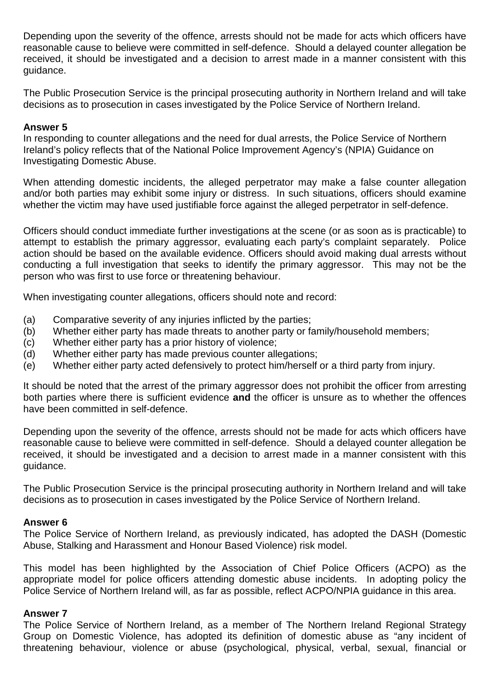Depending upon the severity of the offence, arrests should not be made for acts which officers have reasonable cause to believe were committed in self-defence. Should a delayed counter allegation be received, it should be investigated and a decision to arrest made in a manner consistent with this guidance.

The Public Prosecution Service is the principal prosecuting authority in Northern Ireland and will take decisions as to prosecution in cases investigated by the Police Service of Northern Ireland.

# **Answer 5**

In responding to counter allegations and the need for dual arrests, the Police Service of Northern Ireland's policy reflects that of the National Police Improvement Agency's (NPIA) Guidance on Investigating Domestic Abuse.

When attending domestic incidents, the alleged perpetrator may make a false counter allegation and/or both parties may exhibit some injury or distress. In such situations, officers should examine whether the victim may have used justifiable force against the alleged perpetrator in self-defence.

Officers should conduct immediate further investigations at the scene (or as soon as is practicable) to attempt to establish the primary aggressor, evaluating each party's complaint separately. Police action should be based on the available evidence. Officers should avoid making dual arrests without conducting a full investigation that seeks to identify the primary aggressor. This may not be the person who was first to use force or threatening behaviour.

When investigating counter allegations, officers should note and record:

- (a) Comparative severity of any injuries inflicted by the parties;
- (b) Whether either party has made threats to another party or family/household members;
- (c) Whether either party has a prior history of violence;
- (d) Whether either party has made previous counter allegations;
- (e) Whether either party acted defensively to protect him/herself or a third party from injury.

It should be noted that the arrest of the primary aggressor does not prohibit the officer from arresting both parties where there is sufficient evidence **and** the officer is unsure as to whether the offences have been committed in self-defence.

Depending upon the severity of the offence, arrests should not be made for acts which officers have reasonable cause to believe were committed in self-defence. Should a delayed counter allegation be received, it should be investigated and a decision to arrest made in a manner consistent with this guidance.

The Public Prosecution Service is the principal prosecuting authority in Northern Ireland and will take decisions as to prosecution in cases investigated by the Police Service of Northern Ireland.

# **Answer 6**

The Police Service of Northern Ireland, as previously indicated, has adopted the DASH (Domestic Abuse, Stalking and Harassment and Honour Based Violence) risk model.

This model has been highlighted by the Association of Chief Police Officers (ACPO) as the appropriate model for police officers attending domestic abuse incidents. In adopting policy the Police Service of Northern Ireland will, as far as possible, reflect ACPO/NPIA guidance in this area.

#### **Answer 7**

The Police Service of Northern Ireland, as a member of The Northern Ireland Regional Strategy Group on Domestic Violence, has adopted its definition of domestic abuse as "any incident of threatening behaviour, violence or abuse (psychological, physical, verbal, sexual, financial or